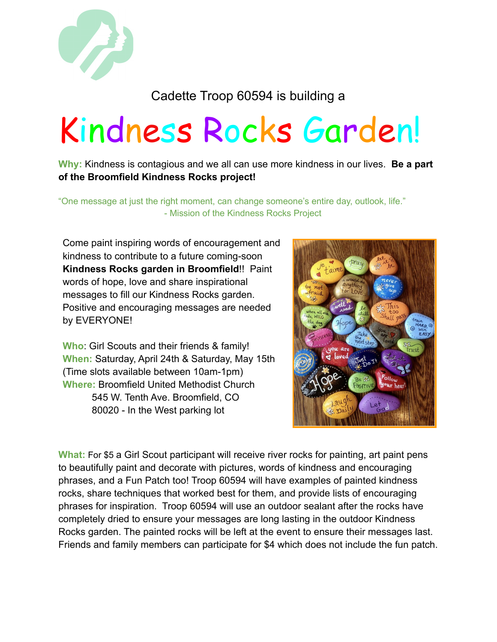

## Cadette Troop 60594 is building a

## Kindness Rocks Garden!

**Why:** Kindness is contagious and we all can use more kindness in our lives. **Be a part of the Broomfield Kindness Rocks project!**

"One message at just the right moment, can change someone's entire day, outlook, life." - Mission of the Kindness Rocks Project

Come paint inspiring words of encouragement and kindness to contribute to a future coming-soon **Kindness Rocks garden in Broomfield**!! Paint words of hope, love and share inspirational messages to fill our Kindness Rocks garden. Positive and encouraging messages are needed by EVERYONE!

**Who**: Girl Scouts and their friends & family! **When:** Saturday, April 24th & Saturday, May 15th (Time slots available between 10am-1pm) **Where:** Broomfield United Methodist Church 545 W. Tenth Ave. Broomfield, CO 80020 - In the West parking lot



**What:** For \$5 a Girl Scout participant will receive river rocks for painting, art paint pens to beautifully paint and decorate with pictures, words of kindness and encouraging phrases, and a Fun Patch too! Troop 60594 will have examples of painted kindness rocks, share techniques that worked best for them, and provide lists of encouraging phrases for inspiration. Troop 60594 will use an outdoor sealant after the rocks have completely dried to ensure your messages are long lasting in the outdoor Kindness Rocks garden. The painted rocks will be left at the event to ensure their messages last. Friends and family members can participate for \$4 which does not include the fun patch.